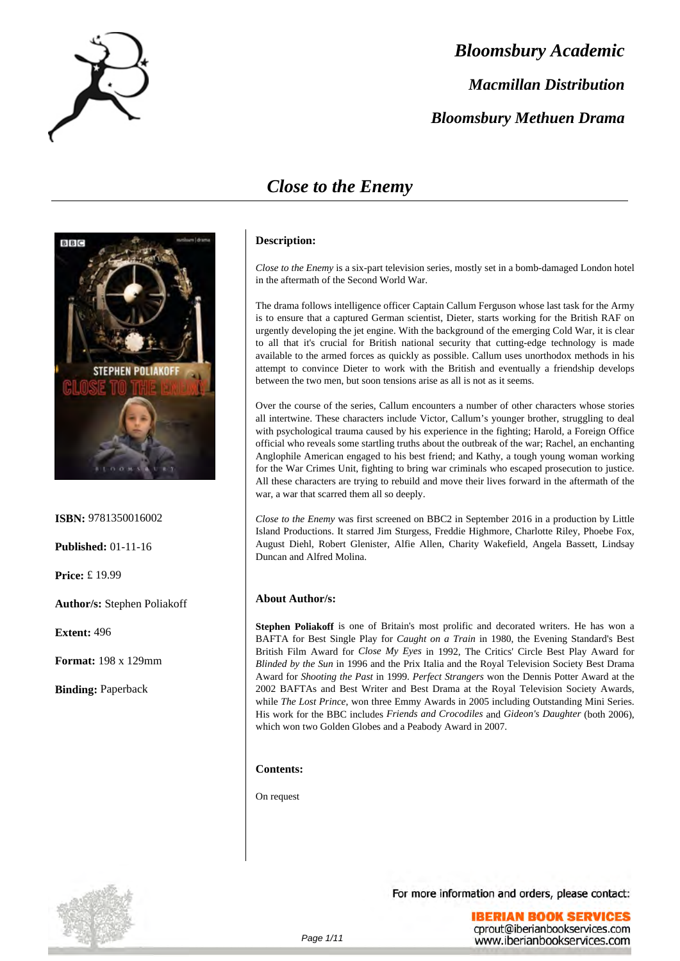

# *Bloomsbury Academic Macmillan Distribution Bloomsbury Methuen Drama*

### *Close to the Enemy*



**ISBN:** 9781350016002

**Published:** 01-11-16

**Price:** £ 19.99

**Author/s:** Stephen Poliakoff

**Extent:** 496

**Format:** 198 x 129mm

**Binding:** Paperback

### **Description:**

*Close to the Enemy* is a six-part television series, mostly set in a bomb-damaged London hotel in the aftermath of the Second World War.

The drama follows intelligence officer Captain Callum Ferguson whose last task for the Army is to ensure that a captured German scientist, Dieter, starts working for the British RAF on urgently developing the jet engine. With the background of the emerging Cold War, it is clear to all that it's crucial for British national security that cutting-edge technology is made available to the armed forces as quickly as possible. Callum uses unorthodox methods in his attempt to convince Dieter to work with the British and eventually a friendship develops between the two men, but soon tensions arise as all is not as it seems.

Over the course of the series, Callum encounters a number of other characters whose stories all intertwine. These characters include Victor, Callum's younger brother, struggling to deal with psychological trauma caused by his experience in the fighting; Harold, a Foreign Office official who reveals some startling truths about the outbreak of the war; Rachel, an enchanting Anglophile American engaged to his best friend; and Kathy, a tough young woman working for the War Crimes Unit, fighting to bring war criminals who escaped prosecution to justice. All these characters are trying to rebuild and move their lives forward in the aftermath of the war, a war that scarred them all so deeply.

*Close to the Enemy* was first screened on BBC2 in September 2016 in a production by Little Island Productions. It starred Jim Sturgess, Freddie Highmore, Charlotte Riley, Phoebe Fox, August Diehl, Robert Glenister, Alfie Allen, Charity Wakefield, Angela Bassett, Lindsay Duncan and Alfred Molina.

### **About Author/s:**

**Stephen Poliakoff** is one of Britain's most prolific and decorated writers. He has won a BAFTA for Best Single Play for *Caught on a Train* in 1980, the Evening Standard's Best British Film Award for *Close My Eyes* in 1992, The Critics' Circle Best Play Award for *Blinded by the Sun* in 1996 and the Prix Italia and the Royal Television Society Best Drama Award for *Shooting the Past* in 1999. *Perfect Strangers* won the Dennis Potter Award at the 2002 BAFTAs and Best Writer and Best Drama at the Royal Television Society Awards, while *The Lost Prince*, won three Emmy Awards in 2005 including Outstanding Mini Series. His work for the BBC includes *Friends and Crocodiles* and *Gideon's Daughter* (both 2006), which won two Golden Globes and a Peabody Award in 2007.

### **Contents:**

On request

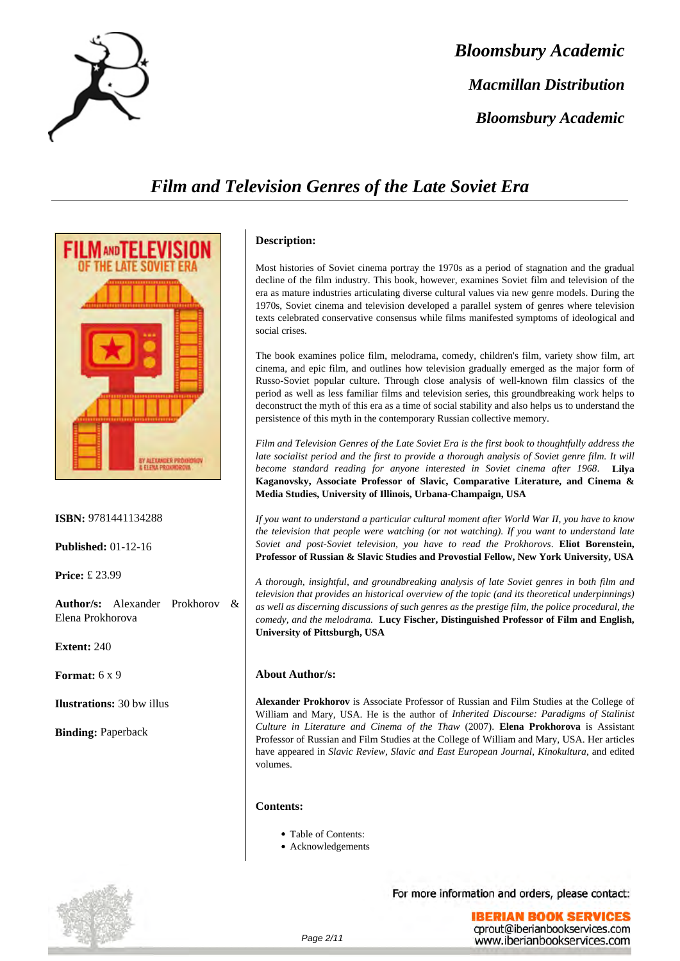

# *Bloomsbury Academic Macmillan Distribution Bloomsbury Academic*

### *Film and Television Genres of the Late Soviet Era*



**ISBN:** 9781441134288

**Published:** 01-12-16

**Price:** £ 23.99

**Author/s:** Alexander Prokhorov & Elena Prokhorova

**Extent:** 240

**Format:** 6 x 9

**Ilustrations:** 30 bw illus

**Binding:** Paperback



### **Description:**

Most histories of Soviet cinema portray the 1970s as a period of stagnation and the gradual decline of the film industry. This book, however, examines Soviet film and television of the era as mature industries articulating diverse cultural values via new genre models. During the 1970s, Soviet cinema and television developed a parallel system of genres where television texts celebrated conservative consensus while films manifested symptoms of ideological and social crises.

The book examines police film, melodrama, comedy, children's film, variety show film, art cinema, and epic film, and outlines how television gradually emerged as the major form of Russo-Soviet popular culture. Through close analysis of well-known film classics of the period as well as less familiar films and television series, this groundbreaking work helps to deconstruct the myth of this era as a time of social stability and also helps us to understand the persistence of this myth in the contemporary Russian collective memory.

*Film and Television Genres of the Late Soviet Era is the first book to thoughtfully address the late socialist period and the first to provide a thorough analysis of Soviet genre film. It will become standard reading for anyone interested in Soviet cinema after 1968*. **Lilya Kaganovsky, Associate Professor of Slavic, Comparative Literature, and Cinema & Media Studies, University of Illinois, Urbana-Champaign, USA**

*If you want to understand a particular cultural moment after World War II, you have to know the television that people were watching (or not watching). If you want to understand late Soviet and post-Soviet television, you have to read the Prokhorovs*. **Eliot Borenstein, Professor of Russian & Slavic Studies and Provostial Fellow, New York University, USA**

*A thorough, insightful, and groundbreaking analysis of late Soviet genres in both film and television that provides an historical overview of the topic (and its theoretical underpinnings) as well as discerning discussions of such genres as the prestige film, the police procedural, the comedy, and the melodrama.* **Lucy Fischer, Distinguished Professor of Film and English, University of Pittsburgh, USA**

### **About Author/s:**

**Alexander Prokhorov** is Associate Professor of Russian and Film Studies at the College of William and Mary, USA. He is the author of *Inherited Discourse: Paradigms of Stalinist Culture in Literature and Cinema of the Thaw* (2007). **Elena Prokhorova** is Assistant Professor of Russian and Film Studies at the College of William and Mary, USA. Her articles have appeared in *Slavic Review*, *Slavic and East European Journal*, *Kinokultura*, and edited volumes.

#### **Contents:**

- Table of Contents:
- Acknowledgements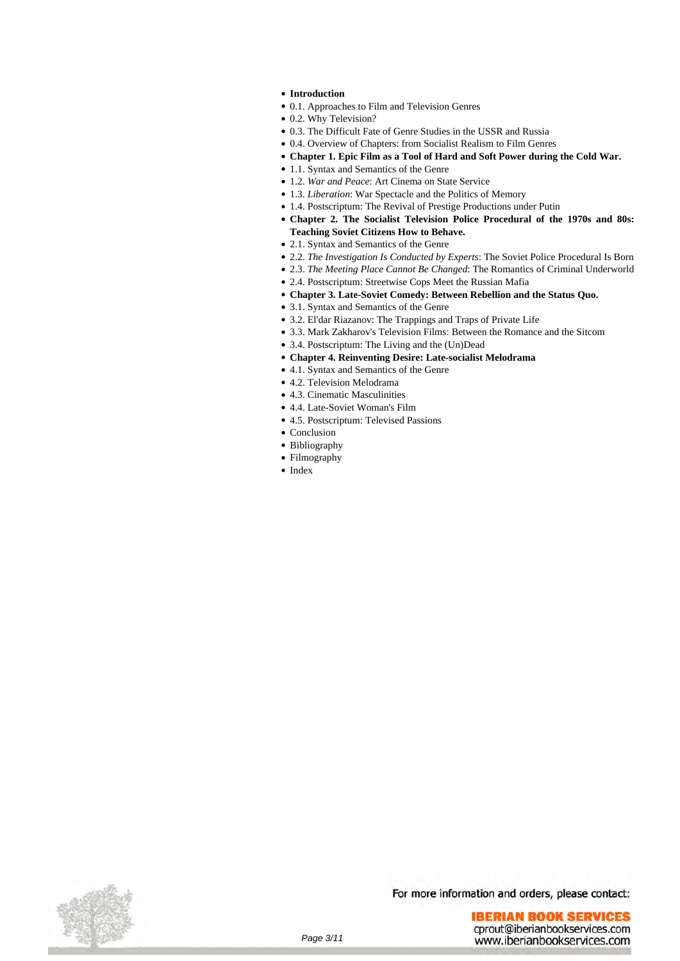- **Introduction**
- 0.1. Approaches to Film and Television Genres
- 0.2. Why Television?
- 0.3. The Difficult Fate of Genre Studies in the USSR and Russia
- 0.4. Overview of Chapters: from Socialist Realism to Film Genres
- **Chapter 1. Epic Film as a Tool of Hard and Soft Power during the Cold War.**
- 1.1. Syntax and Semantics of the Genre
- 1.2. *War and Peace*: Art Cinema on State Service
- 1.3. *Liberation*: War Spectacle and the Politics of Memory
- 1.4. Postscriptum: The Revival of Prestige Productions under Putin
- **Chapter 2. The Socialist Television Police Procedural of the 1970s and 80s: Teaching Soviet Citizens How to Behave.**
- 2.1. Syntax and Semantics of the Genre
- 2.2. *The Investigation Is Conducted by Experts*: The Soviet Police Procedural Is Born
- 2.3. *The Meeting Place Cannot Be Changed*: The Romantics of Criminal Underworld
- 2.4. Postscriptum: Streetwise Cops Meet the Russian Mafia
- **Chapter 3. Late-Soviet Comedy: Between Rebellion and the Status Quo.**
- 3.1. Syntax and Semantics of the Genre
- 3.2. El'dar Riazanov: The Trappings and Traps of Private Life
- 3.3. Mark Zakharov's Television Films: Between the Romance and the Sitcom
- 3.4. Postscriptum: The Living and the (Un)Dead
- **Chapter 4. Reinventing Desire: Late-socialist Melodrama**
- 4.1. Syntax and Semantics of the Genre
- 4.2. Television Melodrama
- 4.3. Cinematic Masculinities
- 4.4. Late-Soviet Woman's Film
- 4.5. Postscriptum: Televised Passions
- Conclusion
- Bibliography
- Filmography
- Index

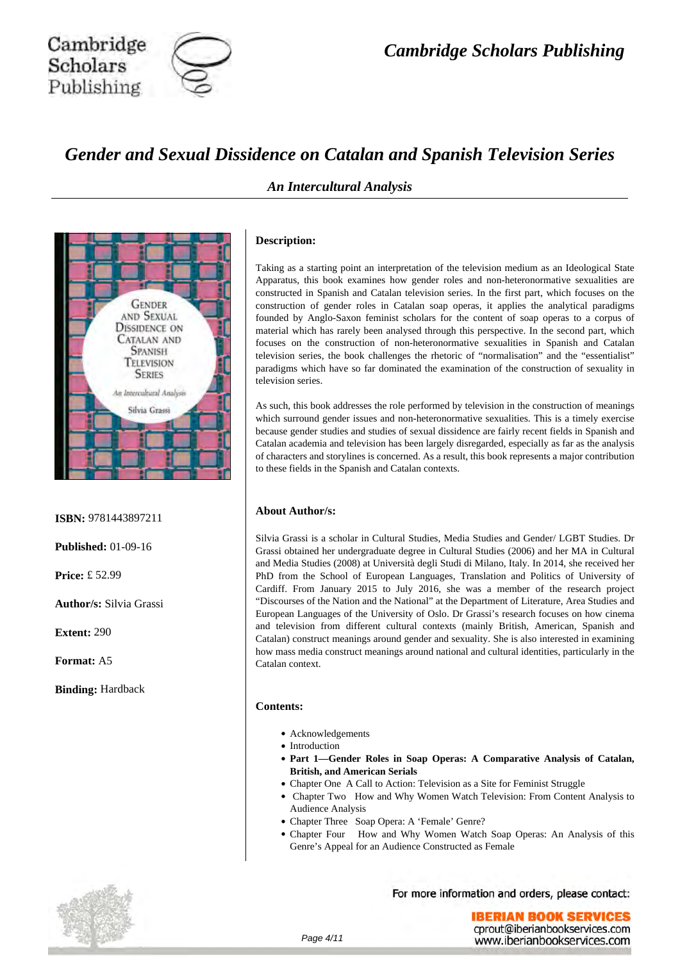

### *Gender and Sexual Dissidence on Catalan and Spanish Television Series*



**ISBN:** 9781443897211

**Published:** 01-09-16

**Price:** £ 52.99

**Author/s:** Silvia Grassi

**Extent:** 290

**Format:** A5

**Binding:** Hardback

### *An Intercultural Analysis*

### **Description:**

Taking as a starting point an interpretation of the television medium as an Ideological State Apparatus, this book examines how gender roles and non-heteronormative sexualities are constructed in Spanish and Catalan television series. In the first part, which focuses on the construction of gender roles in Catalan soap operas, it applies the analytical paradigms founded by Anglo-Saxon feminist scholars for the content of soap operas to a corpus of material which has rarely been analysed through this perspective. In the second part, which focuses on the construction of non-heteronormative sexualities in Spanish and Catalan television series, the book challenges the rhetoric of "normalisation" and the "essentialist" paradigms which have so far dominated the examination of the construction of sexuality in television series.

As such, this book addresses the role performed by television in the construction of meanings which surround gender issues and non-heteronormative sexualities. This is a timely exercise because gender studies and studies of sexual dissidence are fairly recent fields in Spanish and Catalan academia and television has been largely disregarded, especially as far as the analysis of characters and storylines is concerned. As a result, this book represents a major contribution to these fields in the Spanish and Catalan contexts.

### **About Author/s:**

Silvia Grassi is a scholar in Cultural Studies, Media Studies and Gender/ LGBT Studies. Dr Grassi obtained her undergraduate degree in Cultural Studies (2006) and her MA in Cultural and Media Studies (2008) at Università degli Studi di Milano, Italy. In 2014, she received her PhD from the School of European Languages, Translation and Politics of University of Cardiff. From January 2015 to July 2016, she was a member of the research project "Discourses of the Nation and the National" at the Department of Literature, Area Studies and European Languages of the University of Oslo. Dr Grassi's research focuses on how cinema and television from different cultural contexts (mainly British, American, Spanish and Catalan) construct meanings around gender and sexuality. She is also interested in examining how mass media construct meanings around national and cultural identities, particularly in the Catalan context.

#### **Contents:**

- Acknowledgements
- Introduction
- **Part 1—Gender Roles in Soap Operas: A Comparative Analysis of Catalan, British, and American Serials**
- Chapter One A Call to Action: Television as a Site for Feminist Struggle
- Chapter Two How and Why Women Watch Television: From Content Analysis to Audience Analysis
- Chapter Three Soap Opera: A 'Female' Genre?
- Chapter Four How and Why Women Watch Soap Operas: An Analysis of this Genre's Appeal for an Audience Constructed as Female

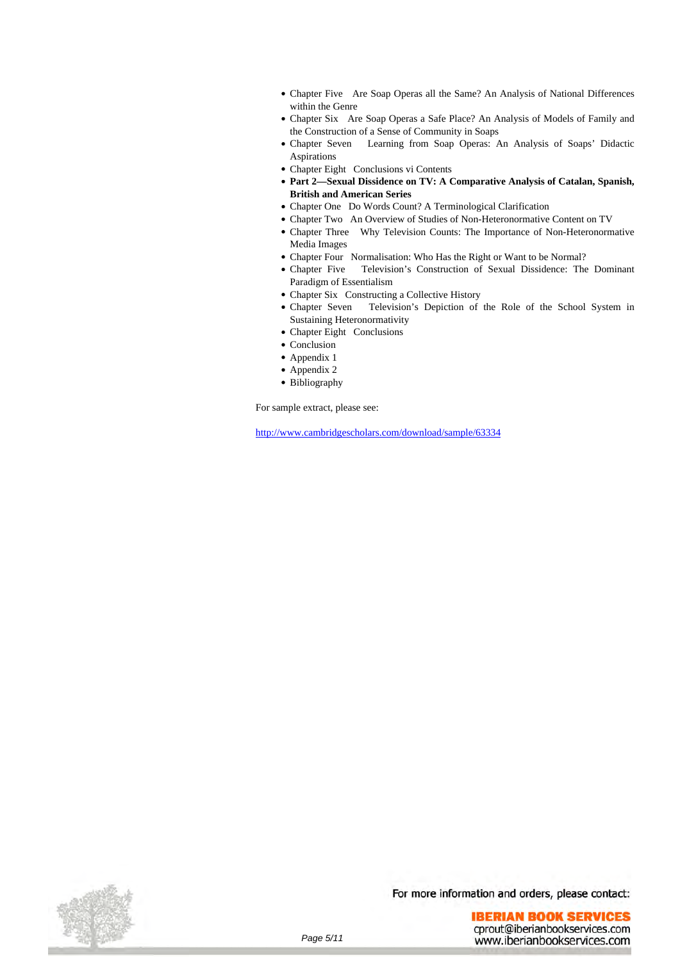- Chapter Five Are Soap Operas all the Same? An Analysis of National Differences within the Genre
- Chapter Six Are Soap Operas a Safe Place? An Analysis of Models of Family and the Construction of a Sense of Community in Soaps
- Chapter Seven Learning from Soap Operas: An Analysis of Soaps' Didactic Aspirations
- Chapter Eight Conclusions vi Contents
- **Part 2—Sexual Dissidence on TV: A Comparative Analysis of Catalan, Spanish, British and American Series**
- Chapter One Do Words Count? A Terminological Clarification
- Chapter Two An Overview of Studies of Non-Heteronormative Content on TV
- Chapter Three Why Television Counts: The Importance of Non-Heteronormative Media Images
- Chapter Four Normalisation: Who Has the Right or Want to be Normal?<br>• Chapter Five Television's Construction of Sexual Dissidence: The
- Television's Construction of Sexual Dissidence: The Dominant Paradigm of Essentialism
- Chapter Six Constructing a Collective History
- Chapter Seven Television's Depiction of the Role of the School System in Sustaining Heteronormativity
- Chapter Eight Conclusions
- Conclusion
- Appendix 1
- Appendix 2
- Bibliography

For sample extract, please see:

<http://www.cambridgescholars.com/download/sample/63334>

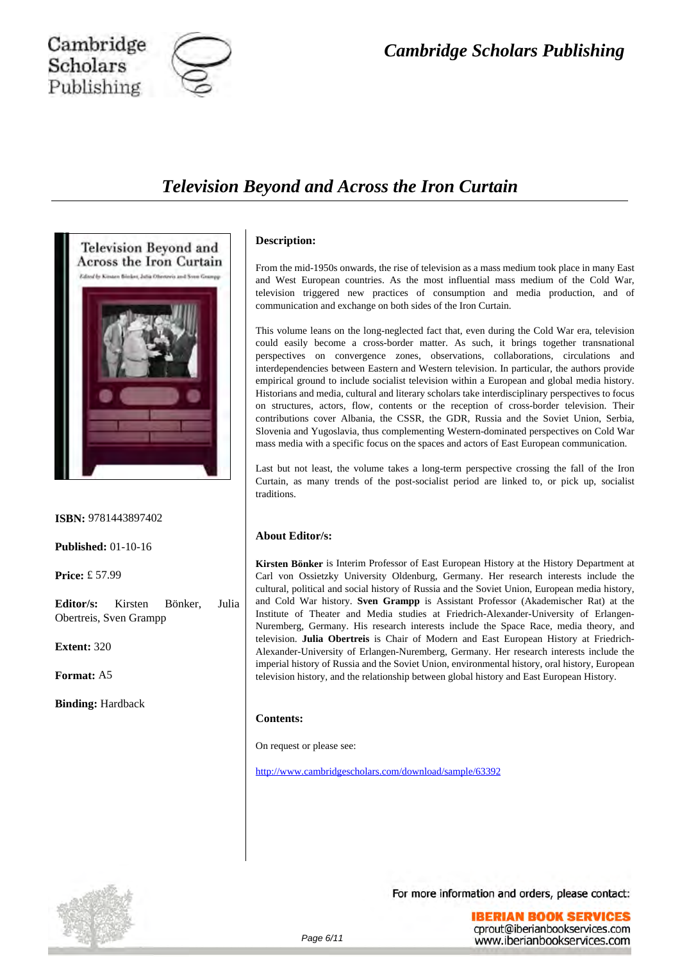

### Cambridge Scholars Publishing

### *Television Beyond and Across the Iron Curtain*



**ISBN:** 9781443897402

**Published:** 01-10-16

**Price:** £ 57.99

**Editor/s:** Kirsten Bönker, Julia Obertreis, Sven Grampp

**Extent:** 320

**Format:** A5

**Binding:** Hardback

### **Description:**

From the mid-1950s onwards, the rise of television as a mass medium took place in many East and West European countries. As the most influential mass medium of the Cold War, television triggered new practices of consumption and media production, and of communication and exchange on both sides of the Iron Curtain.

This volume leans on the long-neglected fact that, even during the Cold War era, television could easily become a cross-border matter. As such, it brings together transnational perspectives on convergence zones, observations, collaborations, circulations and interdependencies between Eastern and Western television. In particular, the authors provide empirical ground to include socialist television within a European and global media history. Historians and media, cultural and literary scholars take interdisciplinary perspectives to focus on structures, actors, flow, contents or the reception of cross-border television. Their contributions cover Albania, the CSSR, the GDR, Russia and the Soviet Union, Serbia, Slovenia and Yugoslavia, thus complementing Western-dominated perspectives on Cold War mass media with a specific focus on the spaces and actors of East European communication.

Last but not least, the volume takes a long-term perspective crossing the fall of the Iron Curtain, as many trends of the post-socialist period are linked to, or pick up, socialist traditions.

### **About Editor/s:**

**Kirsten Bönker** is Interim Professor of East European History at the History Department at Carl von Ossietzky University Oldenburg, Germany. Her research interests include the cultural, political and social history of Russia and the Soviet Union, European media history, and Cold War history. **Sven Grampp** is Assistant Professor (Akademischer Rat) at the Institute of Theater and Media studies at Friedrich-Alexander-University of Erlangen-Nuremberg, Germany. His research interests include the Space Race, media theory, and television. **Julia Obertreis** is Chair of Modern and East European History at Friedrich-Alexander-University of Erlangen-Nuremberg, Germany. Her research interests include the imperial history of Russia and the Soviet Union, environmental history, oral history, European television history, and the relationship between global history and East European History.

### **Contents:**

On request or please see:

<http://www.cambridgescholars.com/download/sample/63392>

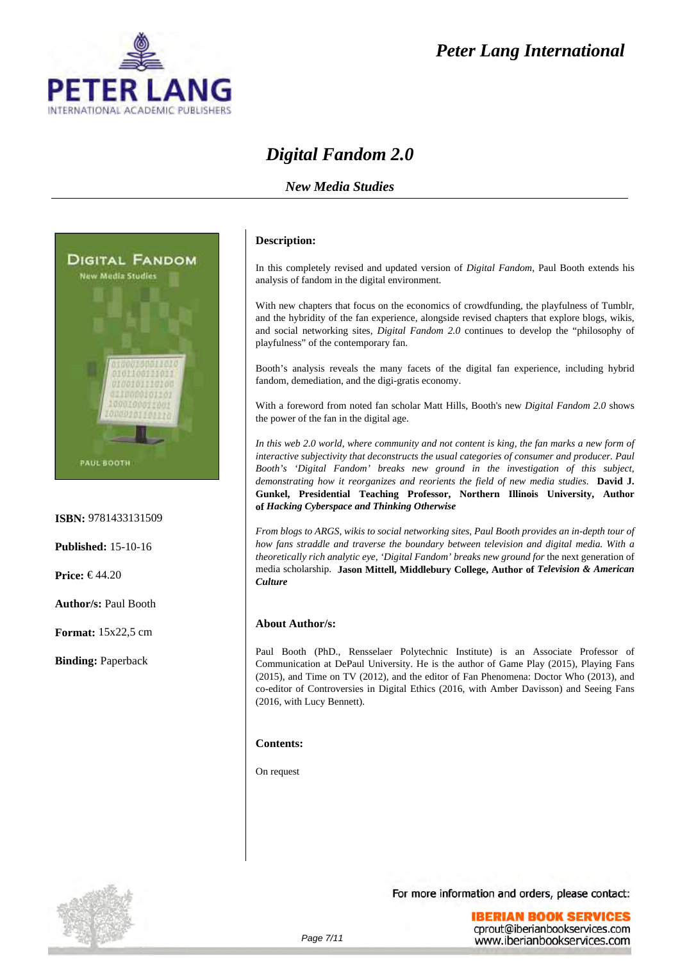

### *Peter Lang International*

### *Digital Fandom 2.0*

### *New Media Studies*



#### **ISBN:** 9781433131509

**Published:** 15-10-16

**Price:** € 44.20

**Author/s:** Paul Booth

**Format:** 15x22,5 cm

**Binding:** Paperback

### **Description:**

In this completely revised and updated version of *Digital Fandom*, Paul Booth extends his analysis of fandom in the digital environment.

With new chapters that focus on the economics of crowdfunding, the playfulness of Tumblr, and the hybridity of the fan experience, alongside revised chapters that explore blogs, wikis, and social networking sites, *Digital Fandom 2.0* continues to develop the "philosophy of playfulness" of the contemporary fan.

Booth's analysis reveals the many facets of the digital fan experience, including hybrid fandom, demediation, and the digi-gratis economy.

With a foreword from noted fan scholar Matt Hills, Booth's new *Digital Fandom 2.0* shows the power of the fan in the digital age.

*In this web 2.0 world, where community and not content is king, the fan marks a new form of interactive subjectivity that deconstructs the usual categories of consumer and producer. Paul Booth's 'Digital Fandom' breaks new ground in the investigation of this subject, demonstrating how it reorganizes and reorients the field of new media studies.* **David J. Gunkel, Presidential Teaching Professor, Northern Illinois University, Author of** *Hacking Cyberspace and Thinking Otherwise*

*From blogs to ARGS, wikis to social networking sites, Paul Booth provides an in-depth tour of how fans straddle and traverse the boundary between television and digital media. With a theoretically rich analytic eye, 'Digital Fandom' breaks new ground for* the next generation of media scholarship. **Jason Mittell, Middlebury College, Author of** *Television & American Culture*

### **About Author/s:**

Paul Booth (PhD., Rensselaer Polytechnic Institute) is an Associate Professor of Communication at DePaul University. He is the author of Game Play (2015), Playing Fans (2015), and Time on TV (2012), and the editor of Fan Phenomena: Doctor Who (2013), and co-editor of Controversies in Digital Ethics (2016, with Amber Davisson) and Seeing Fans (2016, with Lucy Bennett).

### **Contents:**

On request

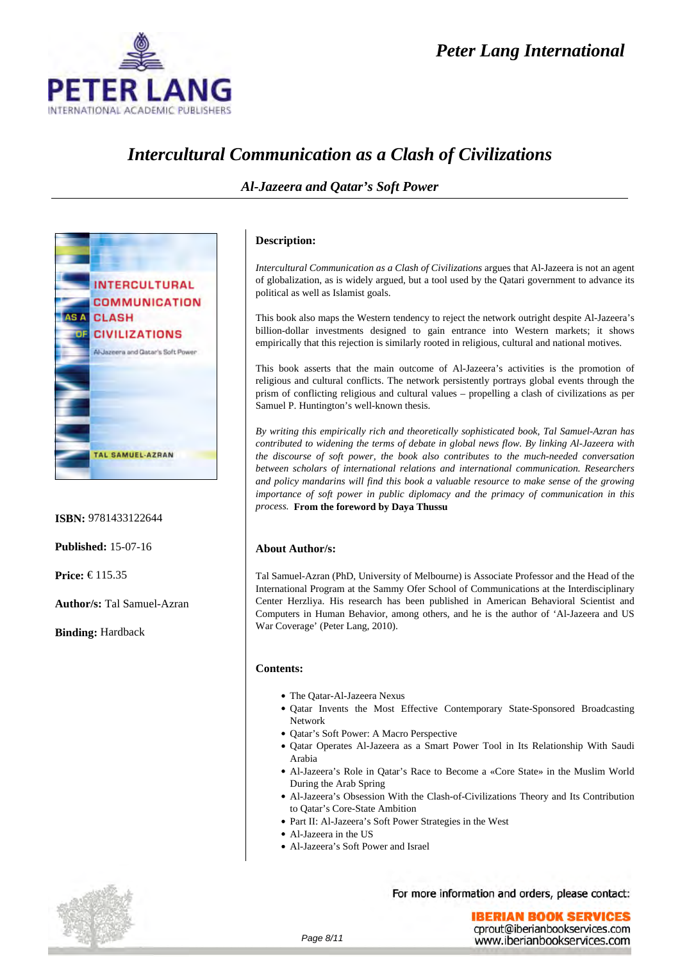### *Peter Lang International*



### *Intercultural Communication as a Clash of Civilizations*



**ISBN:** 9781433122644

**Published:** 15-07-16

**Price:** € 115.35

**Author/s:** Tal Samuel-Azran

**Binding:** Hardback

### *Al-Jazeera and Qatar's Soft Power*

### **Description:**

*Intercultural Communication as a Clash of Civilizations* argues that Al-Jazeera is not an agent of globalization, as is widely argued, but a tool used by the Qatari government to advance its political as well as Islamist goals.

This book also maps the Western tendency to reject the network outright despite Al-Jazeera's billion-dollar investments designed to gain entrance into Western markets; it shows empirically that this rejection is similarly rooted in religious, cultural and national motives.

This book asserts that the main outcome of Al-Jazeera's activities is the promotion of religious and cultural conflicts. The network persistently portrays global events through the prism of conflicting religious and cultural values – propelling a clash of civilizations as per Samuel P. Huntington's well-known thesis.

*By writing this empirically rich and theoretically sophisticated book, Tal Samuel-Azran has contributed to widening the terms of debate in global news flow. By linking Al-Jazeera with the discourse of soft power, the book also contributes to the much-needed conversation between scholars of international relations and international communication. Researchers and policy mandarins will find this book a valuable resource to make sense of the growing importance of soft power in public diplomacy and the primacy of communication in this process.* **From the foreword by Daya Thussu**

### **About Author/s:**

Tal Samuel-Azran (PhD, University of Melbourne) is Associate Professor and the Head of the International Program at the Sammy Ofer School of Communications at the Interdisciplinary Center Herzliya. His research has been published in American Behavioral Scientist and Computers in Human Behavior, among others, and he is the author of 'Al-Jazeera and US War Coverage' (Peter Lang, 2010).

### **Contents:**

- The Qatar-Al-Jazeera Nexus
- Oatar Invents the Most Effective Contemporary State-Sponsored Broadcasting Network
- Oatar's Soft Power: A Macro Perspective
- Oatar Operates Al-Jazeera as a Smart Power Tool in Its Relationship With Saudi Arabia
- Al-Jazeera's Role in Qatar's Race to Become a «Core State» in the Muslim World During the Arab Spring
- Al-Jazeera's Obsession With the Clash-of-Civilizations Theory and Its Contribution to Qatar's Core-State Ambition
- Part II: Al-Jazeera's Soft Power Strategies in the West
- Al-Jazeera in the US
- Al-Jazeera's Soft Power and Israel

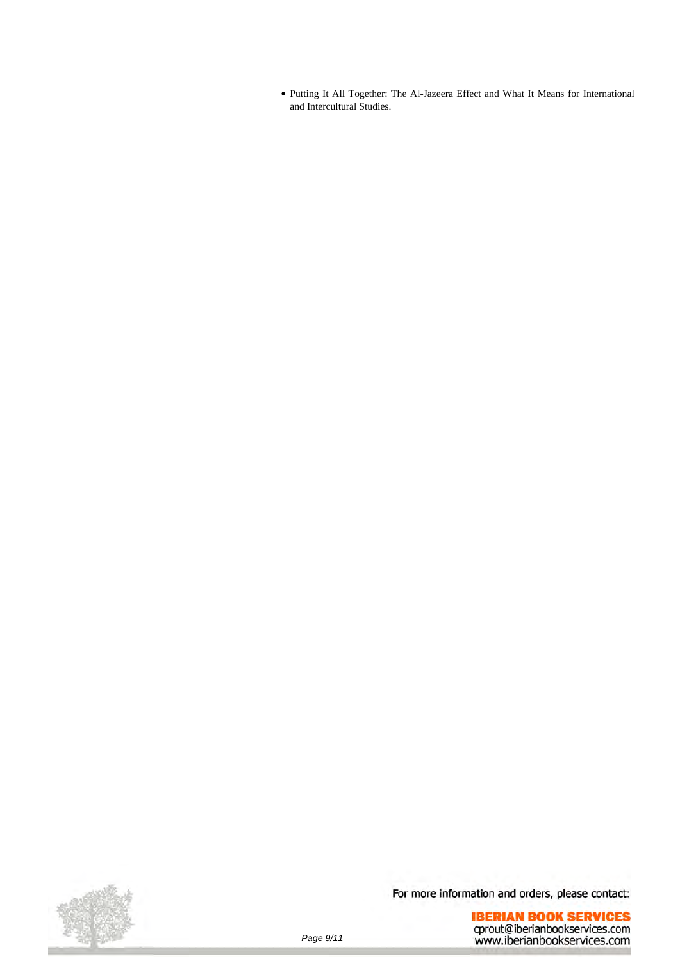Putting It All Together: The Al-Jazeera Effect and What It Means for International and Intercultural Studies.

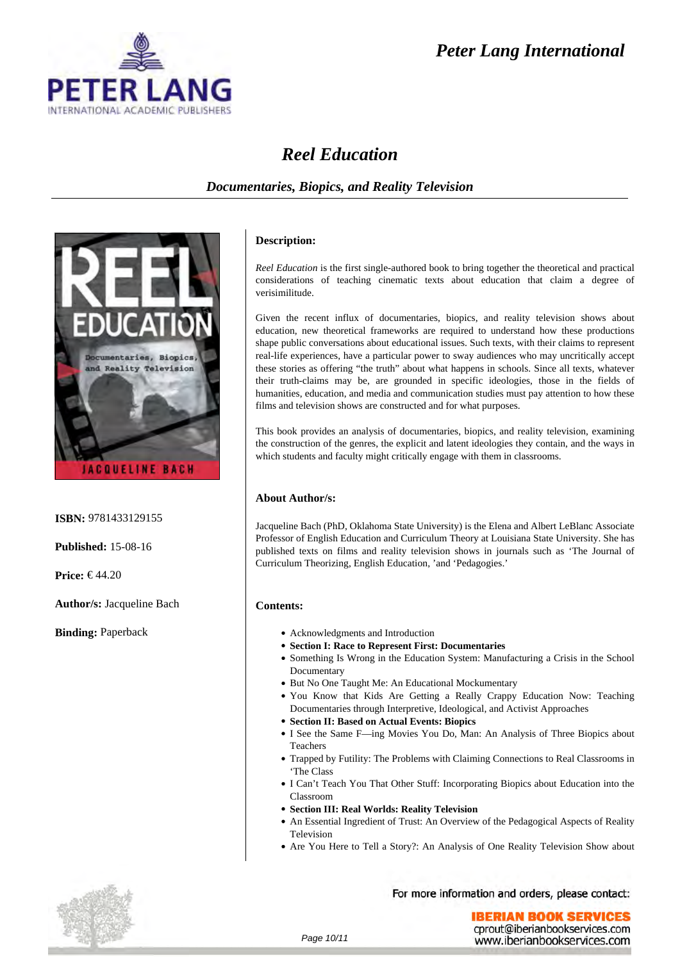# **FFR ERNATIONAL ACADEMIC PUBLISHERS**

### *Peter Lang International*

### *Reel Education*

### *Documentaries, Biopics, and Reality Television*



**ISBN:** 9781433129155

**Published:** 15-08-16

**Price:** € 44.20

**Author/s:** Jacqueline Bach

**Binding:** Paperback

### **Description:**

*Reel Education* is the first single-authored book to bring together the theoretical and practical considerations of teaching cinematic texts about education that claim a degree of verisimilitude.

Given the recent influx of documentaries, biopics, and reality television shows about education, new theoretical frameworks are required to understand how these productions shape public conversations about educational issues. Such texts, with their claims to represent real-life experiences, have a particular power to sway audiences who may uncritically accept these stories as offering "the truth" about what happens in schools. Since all texts, whatever their truth-claims may be, are grounded in specific ideologies, those in the fields of humanities, education, and media and communication studies must pay attention to how these films and television shows are constructed and for what purposes.

This book provides an analysis of documentaries, biopics, and reality television, examining the construction of the genres, the explicit and latent ideologies they contain, and the ways in which students and faculty might critically engage with them in classrooms.

### **About Author/s:**

Jacqueline Bach (PhD, Oklahoma State University) is the Elena and Albert LeBlanc Associate Professor of English Education and Curriculum Theory at Louisiana State University. She has published texts on films and reality television shows in journals such as 'The Journal of Curriculum Theorizing, English Education, 'and 'Pedagogies.'

### **Contents:**

- Acknowledgments and Introduction
- **Section I: Race to Represent First: Documentaries**
- Something Is Wrong in the Education System: Manufacturing a Crisis in the School Documentary
- But No One Taught Me: An Educational Mockumentary
- You Know that Kids Are Getting a Really Crappy Education Now: Teaching Documentaries through Interpretive, Ideological, and Activist Approaches
- **Section II: Based on Actual Events: Biopics**
- I See the Same F—ing Movies You Do, Man: An Analysis of Three Biopics about Teachers
- Trapped by Futility: The Problems with Claiming Connections to Real Classrooms in 'The Class
- I Can't Teach You That Other Stuff: Incorporating Biopics about Education into the Classroom
- **Section III: Real Worlds: Reality Television**
- An Essential Ingredient of Trust: An Overview of the Pedagogical Aspects of Reality Television
- Are You Here to Tell a Story?: An Analysis of One Reality Television Show about